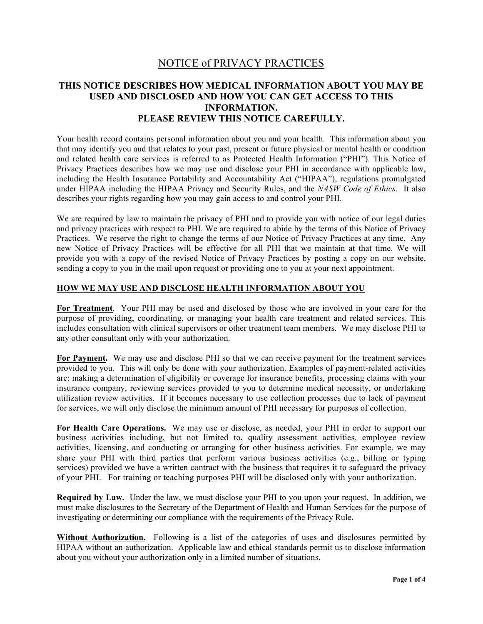# NOTICE of PRIVACY PRACTICES

# **THIS NOTICE DESCRIBES HOW MEDICAL INFORMATION ABOUT YOU MAY BE USED AND DISCLOSED AND HOW YOU CAN GET ACCESS TO THIS INFORMATION. PLEASE REVIEW THIS NOTICE CAREFULLY.**

Your health record contains personal information about you and your health. This information about you that may identify you and that relates to your past, present or future physical or mental health or condition and related health care services is referred to as Protected Health Information ("PHI"). This Notice of Privacy Practices describes how we may use and disclose your PHI in accordance with applicable law, including the Health Insurance Portability and Accountability Act ("HIPAA"), regulations promulgated under HIPAA including the HIPAA Privacy and Security Rules, and the *NASW Code of Ethics*. It also describes your rights regarding how you may gain access to and control your PHI.

We are required by law to maintain the privacy of PHI and to provide you with notice of our legal duties and privacy practices with respect to PHI. We are required to abide by the terms of this Notice of Privacy Practices. We reserve the right to change the terms of our Notice of Privacy Practices at any time. Any new Notice of Privacy Practices will be effective for all PHI that we maintain at that time. We will provide you with a copy of the revised Notice of Privacy Practices by posting a copy on our website, sending a copy to you in the mail upon request or providing one to you at your next appointment.

#### **HOW WE MAY USE AND DISCLOSE HEALTH INFORMATION ABOUT YOU**

**For Treatment**.Your PHI may be used and disclosed by those who are involved in your care for the purpose of providing, coordinating, or managing your health care treatment and related services. This includes consultation with clinical supervisors or other treatment team members. We may disclose PHI to any other consultant only with your authorization.

**For Payment.** We may use and disclose PHI so that we can receive payment for the treatment services provided to you. This will only be done with your authorization. Examples of payment-related activities are: making a determination of eligibility or coverage for insurance benefits, processing claims with your insurance company, reviewing services provided to you to determine medical necessity, or undertaking utilization review activities. If it becomes necessary to use collection processes due to lack of payment for services, we will only disclose the minimum amount of PHI necessary for purposes of collection.

**For Health Care Operations.** We may use or disclose, as needed, your PHI in order to support our business activities including, but not limited to, quality assessment activities, employee review activities, licensing, and conducting or arranging for other business activities. For example, we may share your PHI with third parties that perform various business activities (e.g., billing or typing services) provided we have a written contract with the business that requires it to safeguard the privacy of your PHI. For training or teaching purposes PHI will be disclosed only with your authorization.

**Required by Law.** Under the law, we must disclose your PHI to you upon your request. In addition, we must make disclosures to the Secretary of the Department of Health and Human Services for the purpose of investigating or determining our compliance with the requirements of the Privacy Rule.

**Without Authorization.** Following is a list of the categories of uses and disclosures permitted by HIPAA without an authorization. Applicable law and ethical standards permit us to disclose information about you without your authorization only in a limited number of situations.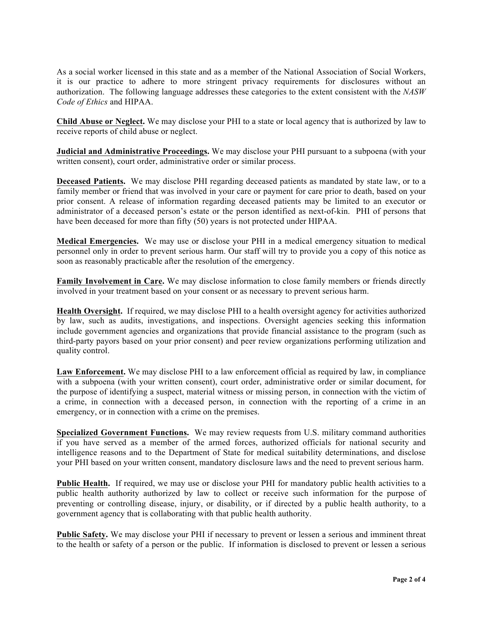As a social worker licensed in this state and as a member of the National Association of Social Workers, it is our practice to adhere to more stringent privacy requirements for disclosures without an authorization.The following language addresses these categories to the extent consistent with the *NASW Code of Ethics* and HIPAA.

**Child Abuse or Neglect.** We may disclose your PHI to a state or local agency that is authorized by law to receive reports of child abuse or neglect.

**Judicial and Administrative Proceedings.** We may disclose your PHI pursuant to a subpoena (with your written consent), court order, administrative order or similar process.

**Deceased Patients.** We may disclose PHI regarding deceased patients as mandated by state law, or to a family member or friend that was involved in your care or payment for care prior to death, based on your prior consent. A release of information regarding deceased patients may be limited to an executor or administrator of a deceased person's estate or the person identified as next-of-kin. PHI of persons that have been deceased for more than fifty (50) years is not protected under HIPAA.

**Medical Emergencies.** We may use or disclose your PHI in a medical emergency situation to medical personnel only in order to prevent serious harm. Our staff will try to provide you a copy of this notice as soon as reasonably practicable after the resolution of the emergency.

**Family Involvement in Care.** We may disclose information to close family members or friends directly involved in your treatment based on your consent or as necessary to prevent serious harm.

**Health Oversight.** If required, we may disclose PHI to a health oversight agency for activities authorized by law, such as audits, investigations, and inspections. Oversight agencies seeking this information include government agencies and organizations that provide financial assistance to the program (such as third-party payors based on your prior consent) and peer review organizations performing utilization and quality control.

**Law Enforcement.** We may disclose PHI to a law enforcement official as required by law, in compliance with a subpoena (with your written consent), court order, administrative order or similar document, for the purpose of identifying a suspect, material witness or missing person, in connection with the victim of a crime, in connection with a deceased person, in connection with the reporting of a crime in an emergency, or in connection with a crime on the premises.

**Specialized Government Functions.** We may review requests from U.S. military command authorities if you have served as a member of the armed forces, authorized officials for national security and intelligence reasons and to the Department of State for medical suitability determinations, and disclose your PHI based on your written consent, mandatory disclosure laws and the need to prevent serious harm.

**Public Health.** If required, we may use or disclose your PHI for mandatory public health activities to a public health authority authorized by law to collect or receive such information for the purpose of preventing or controlling disease, injury, or disability, or if directed by a public health authority, to a government agency that is collaborating with that public health authority.

**Public Safety.** We may disclose your PHI if necessary to prevent or lessen a serious and imminent threat to the health or safety of a person or the public. If information is disclosed to prevent or lessen a serious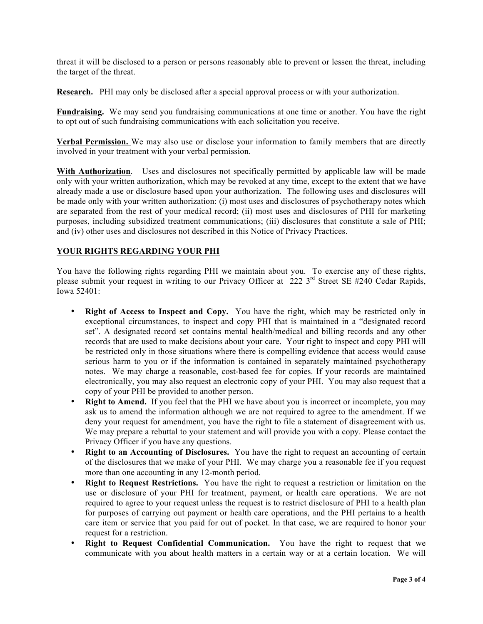threat it will be disclosed to a person or persons reasonably able to prevent or lessen the threat, including the target of the threat.

**Research.** PHI may only be disclosed after a special approval process or with your authorization.

**Fundraising.** We may send you fundraising communications at one time or another. You have the right to opt out of such fundraising communications with each solicitation you receive.

**Verbal Permission.** We may also use or disclose your information to family members that are directly involved in your treatment with your verbal permission.

**With Authorization**. Uses and disclosures not specifically permitted by applicable law will be made only with your written authorization, which may be revoked at any time, except to the extent that we have already made a use or disclosure based upon your authorization. The following uses and disclosures will be made only with your written authorization: (i) most uses and disclosures of psychotherapy notes which are separated from the rest of your medical record; (ii) most uses and disclosures of PHI for marketing purposes, including subsidized treatment communications; (iii) disclosures that constitute a sale of PHI; and (iv) other uses and disclosures not described in this Notice of Privacy Practices.

## **YOUR RIGHTS REGARDING YOUR PHI**

You have the following rights regarding PHI we maintain about you. To exercise any of these rights, please submit your request in writing to our Privacy Officer at 222 3<sup>rd</sup> Street SE #240 Cedar Rapids, Iowa 52401:

- **Right of Access to Inspect and Copy.** You have the right, which may be restricted only in exceptional circumstances, to inspect and copy PHI that is maintained in a "designated record set". A designated record set contains mental health/medical and billing records and any other records that are used to make decisions about your care. Your right to inspect and copy PHI will be restricted only in those situations where there is compelling evidence that access would cause serious harm to you or if the information is contained in separately maintained psychotherapy notes. We may charge a reasonable, cost-based fee for copies. If your records are maintained electronically, you may also request an electronic copy of your PHI. You may also request that a copy of your PHI be provided to another person.
- **Right to Amend.** If you feel that the PHI we have about you is incorrect or incomplete, you may ask us to amend the information although we are not required to agree to the amendment. If we deny your request for amendment, you have the right to file a statement of disagreement with us. We may prepare a rebuttal to your statement and will provide you with a copy. Please contact the Privacy Officer if you have any questions.
- **Right to an Accounting of Disclosures.** You have the right to request an accounting of certain of the disclosures that we make of your PHI. We may charge you a reasonable fee if you request more than one accounting in any 12-month period.
- **Right to Request Restrictions.** You have the right to request a restriction or limitation on the use or disclosure of your PHI for treatment, payment, or health care operations. We are not required to agree to your request unless the request is to restrict disclosure of PHI to a health plan for purposes of carrying out payment or health care operations, and the PHI pertains to a health care item or service that you paid for out of pocket. In that case, we are required to honor your request for a restriction.
- **Right to Request Confidential Communication.** You have the right to request that we communicate with you about health matters in a certain way or at a certain location. We will